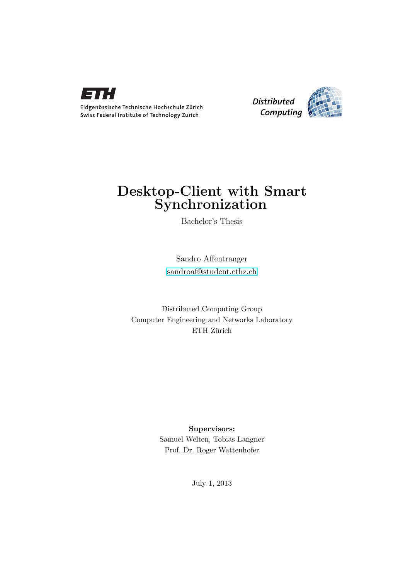



## Desktop-Client with Smart **Synchronization**

Bachelor's Thesis

Sandro Affentranger [sandroaf@student.ethz.ch](mailto:Sandro Affentranger<sandroaf@student.ethz.ch>)

Distributed Computing Group Computer Engineering and Networks Laboratory ETH Zürich

> Supervisors: Samuel Welten, Tobias Langner Prof. Dr. Roger Wattenhofer

> > July 1, 2013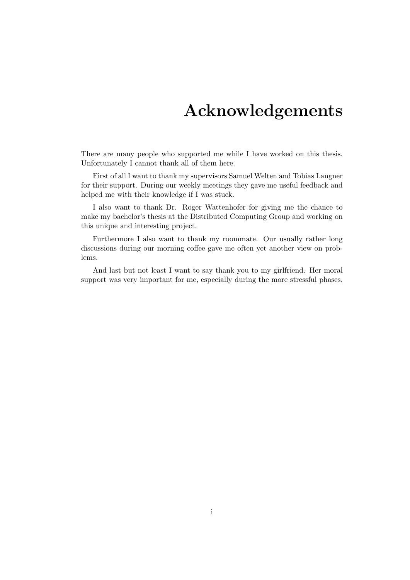## Acknowledgements

<span id="page-1-0"></span>There are many people who supported me while I have worked on this thesis. Unfortunately I cannot thank all of them here.

First of all I want to thank my supervisors Samuel Welten and Tobias Langner for their support. During our weekly meetings they gave me useful feedback and helped me with their knowledge if I was stuck.

I also want to thank Dr. Roger Wattenhofer for giving me the chance to make my bachelor's thesis at the Distributed Computing Group and working on this unique and interesting project.

Furthermore I also want to thank my roommate. Our usually rather long discussions during our morning coffee gave me often yet another view on problems.

And last but not least I want to say thank you to my girlfriend. Her moral support was very important for me, especially during the more stressful phases.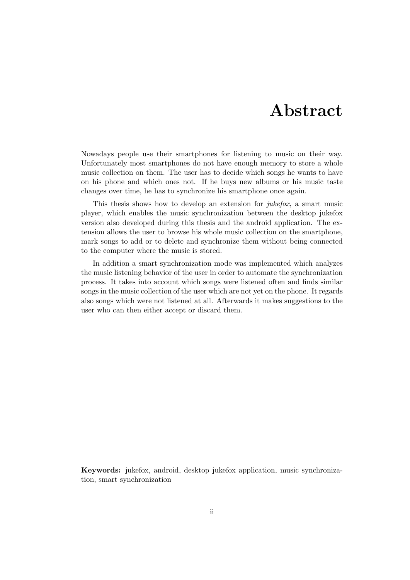## Abstract

<span id="page-2-0"></span>Nowadays people use their smartphones for listening to music on their way. Unfortunately most smartphones do not have enough memory to store a whole music collection on them. The user has to decide which songs he wants to have on his phone and which ones not. If he buys new albums or his music taste changes over time, he has to synchronize his smartphone once again.

This thesis shows how to develop an extension for *jukefox*, a smart music player, which enables the music synchronization between the desktop jukefox version also developed during this thesis and the android application. The extension allows the user to browse his whole music collection on the smartphone, mark songs to add or to delete and synchronize them without being connected to the computer where the music is stored.

In addition a smart synchronization mode was implemented which analyzes the music listening behavior of the user in order to automate the synchronization process. It takes into account which songs were listened often and finds similar songs in the music collection of the user which are not yet on the phone. It regards also songs which were not listened at all. Afterwards it makes suggestions to the user who can then either accept or discard them.

Keywords: jukefox, android, desktop jukefox application, music synchronization, smart synchronization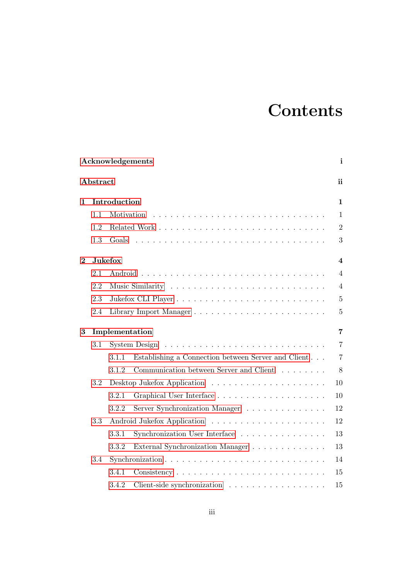## **Contents**

| Acknowledgements |                |                |                                                                          |                         |  |  |  |  |
|------------------|----------------|----------------|--------------------------------------------------------------------------|-------------------------|--|--|--|--|
|                  | Abstract       | ii             |                                                                          |                         |  |  |  |  |
| $\mathbf{1}$     |                | Introduction   |                                                                          | $\mathbf{1}$            |  |  |  |  |
|                  | 1.1            | Motivation     |                                                                          | $\mathbf{1}$            |  |  |  |  |
|                  | 1.2            |                |                                                                          | $\overline{2}$          |  |  |  |  |
|                  | 1.3            | Goals          |                                                                          | 3                       |  |  |  |  |
| $\overline{2}$   |                | <b>Jukefox</b> |                                                                          | $\overline{\mathbf{4}}$ |  |  |  |  |
|                  | 2.1            |                |                                                                          | $\overline{4}$          |  |  |  |  |
|                  | 2.2            |                |                                                                          | $\overline{4}$          |  |  |  |  |
|                  | 2.3            |                |                                                                          | $\overline{5}$          |  |  |  |  |
|                  | 2.4            |                |                                                                          | $\overline{5}$          |  |  |  |  |
| 3                | Implementation |                |                                                                          |                         |  |  |  |  |
|                  | 3.1            |                |                                                                          | $\overline{7}$          |  |  |  |  |
|                  |                | 3.1.1          | Establishing a Connection between Server and Client                      | $\overline{7}$          |  |  |  |  |
|                  |                | 3.1.2          | Communication between Server and Client $\ldots \ldots \ldots$           | 8                       |  |  |  |  |
|                  | 3.2            |                |                                                                          | 10                      |  |  |  |  |
|                  |                | 3.2.1          |                                                                          | 10                      |  |  |  |  |
|                  |                | 3.2.2          | Server Synchronization Manager                                           | 12                      |  |  |  |  |
|                  | 3.3            |                |                                                                          | 12                      |  |  |  |  |
|                  |                | 3.3.1          | Synchronization User Interface                                           | 13                      |  |  |  |  |
|                  |                | 3.3.2          | External Synchronization Manager<br>$\ldots \ldots \ldots \ldots \ldots$ | 13                      |  |  |  |  |
|                  | 3.4            | 14             |                                                                          |                         |  |  |  |  |
|                  |                | 3.4.1          |                                                                          | 15                      |  |  |  |  |
|                  |                | 3.4.2          | Client-side synchronization $\ldots \ldots \ldots \ldots \ldots \ldots$  | 15                      |  |  |  |  |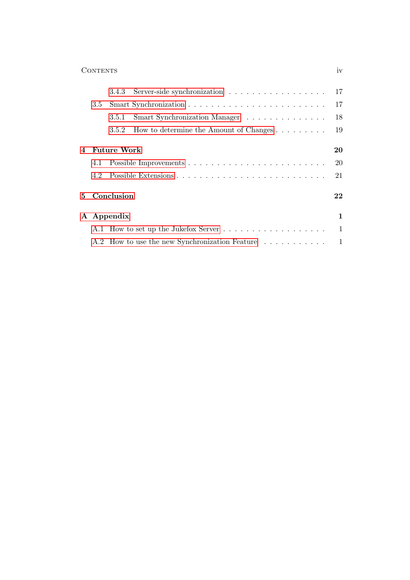|   |            |                        | 3.4.3 Server-side synchronization 17                 |           |  |  |
|---|------------|------------------------|------------------------------------------------------|-----------|--|--|
|   | 3.5        |                        |                                                      | 17        |  |  |
|   |            | 3.5.1                  | Smart Synchronization Manager                        | 18        |  |  |
|   |            | 3.5.2                  | How to determine the Amount of Changes $\dots \dots$ | 19        |  |  |
|   |            |                        |                                                      |           |  |  |
| 4 |            | <b>Future Work</b>     |                                                      | 20        |  |  |
|   | 4.1        |                        |                                                      | <b>20</b> |  |  |
|   | 4.2        |                        |                                                      | 21        |  |  |
|   |            | 5 Conclusion<br>$22\,$ |                                                      |           |  |  |
|   | A Appendix |                        |                                                      |           |  |  |
|   |            |                        |                                                      |           |  |  |
|   |            |                        | A.2 How to use the new Synchronization Feature 1     |           |  |  |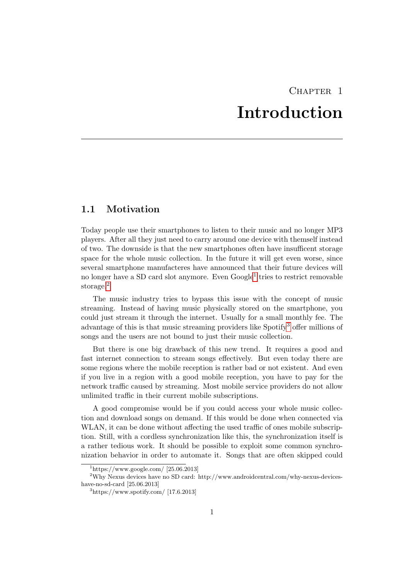## CHAPTER<sub>1</sub> Introduction

### <span id="page-5-1"></span><span id="page-5-0"></span>1.1 Motivation

Today people use their smartphones to listen to their music and no longer MP3 players. After all they just need to carry around one device with themself instead of two. The downside is that the new smartphones often have insufficent storage space for the whole music collection. In the future it will get even worse, since several smartphone manufacteres have announced that their future devices will no longer have a SD card slot anymore. Even Google<sup>[1](#page-5-2)</sup> tries to restrict removable storage.<sup>[2](#page-5-3)</sup>

The music industry tries to bypass this issue with the concept of music streaming. Instead of having music physically stored on the smartphone, you could just stream it through the internet. Usually for a small monthly fee. The advantage of this is that music streaming providers like Spotify[3](#page-5-4) offer millions of songs and the users are not bound to just their music collection.

But there is one big drawback of this new trend. It requires a good and fast internet connection to stream songs effectively. But even today there are some regions where the mobile reception is rather bad or not existent. And even if you live in a region with a good mobile reception, you have to pay for the network traffic caused by streaming. Most mobile service providers do not allow unlimited traffic in their current mobile subscriptions.

A good compromise would be if you could access your whole music collection and download songs on demand. If this would be done when connected via WLAN, it can be done without affecting the used traffic of ones mobile subscription. Still, with a cordless synchronization like this, the synchronization itself is a rather tedious work. It should be possible to exploit some common synchronization behavior in order to automate it. Songs that are often skipped could

<span id="page-5-3"></span><span id="page-5-2"></span> $1<sup>1</sup>$ https://www.google.com/ [25.06.2013]

<sup>2</sup>Why Nexus devices have no SD card: http://www.androidcentral.com/why-nexus-deviceshave-no-sd-card [25.06.2013]

<span id="page-5-4"></span> $3$ https://www.spotify.com/ [17.6.2013]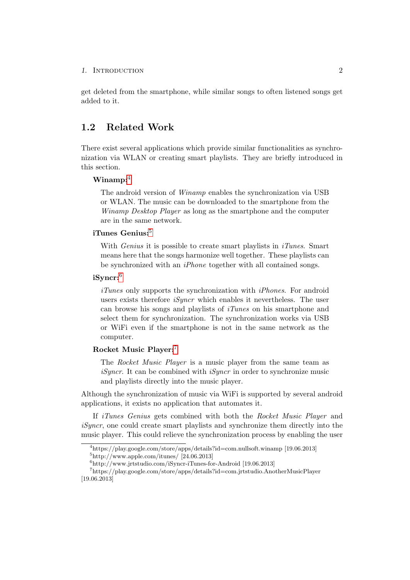### 1. INTRODUCTION 2

get deleted from the smartphone, while similar songs to often listened songs get added to it.

### <span id="page-6-0"></span>1.2 Related Work

There exist several applications which provide similar functionalities as synchronization via WLAN or creating smart playlists. They are briefly introduced in this section.

#### $W$ inamp:<sup>[4](#page-6-1)</sup>

The android version of Winamp enables the synchronization via USB or WLAN. The music can be downloaded to the smartphone from the Winamp Desktop Player as long as the smartphone and the computer are in the same network.

### iTunes Genius: $5$

With *Genius* it is possible to create smart playlists in  $iTunes$ . Smart means here that the songs harmonize well together. These playlists can be synchronized with an iPhone together with all contained songs.

### iSyncr:[6](#page-6-3)

iTunes only supports the synchronization with iPhones. For android users exists therefore *iSyncr* which enables it nevertheless. The user can browse his songs and playlists of iTunes on his smartphone and select them for synchronization. The synchronization works via USB or WiFi even if the smartphone is not in the same network as the computer.

### Rocket Music Player:[7](#page-6-4)

The Rocket Music Player is a music player from the same team as *iSyncr*. It can be combined with *iSyncr* in order to synchronize music and playlists directly into the music player.

Although the synchronization of music via WiFi is supported by several android applications, it exists no application that automates it.

If *iTunes Genius* gets combined with both the Rocket Music Player and iSyncr, one could create smart playlists and synchronize them directly into the music player. This could relieve the synchronization process by enabling the user

<span id="page-6-1"></span><sup>4</sup>https://play.google.com/store/apps/details?id=com.nullsoft.winamp [19.06.2013]

<span id="page-6-2"></span> $5$ http://www.apple.com/itunes/ [24.06.2013]

<span id="page-6-4"></span><span id="page-6-3"></span><sup>6</sup>http://www.jrtstudio.com/iSyncr-iTunes-for-Android [19.06.2013]

<sup>7</sup>https://play.google.com/store/apps/details?id=com.jrtstudio.AnotherMusicPlayer [19.06.2013]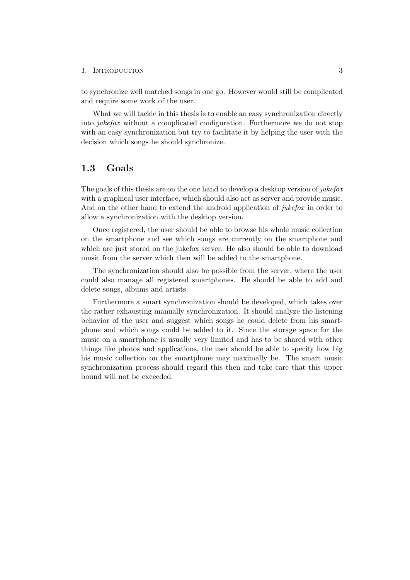#### 1. INTRODUCTION 3

to synchronize well matched songs in one go. However would still be complicated and require some work of the user.

What we will tackle in this thesis is to enable an easy synchronization directly into jukefox without a complicated configuration. Furthermore we do not stop with an easy synchronization but try to facilitate it by helping the user with the decision which songs he should synchronize.

### <span id="page-7-0"></span>1.3 Goals

The goals of this thesis are on the one hand to develop a desktop version of jukefox with a graphical user interface, which should also act as server and provide music. And on the other hand to extend the android application of *jukefox* in order to allow a synchronization with the desktop version.

Once registered, the user should be able to browse his whole music collection on the smartphone and see which songs are currently on the smartphone and which are just stored on the jukefox server. He also should be able to download music from the server which then will be added to the smartphone.

The synchronization should also be possible from the server, where the user could also manage all registered smartphones. He should be able to add and delete songs, albums and artists.

Furthermore a smart synchronization should be developed, which takes over the rather exhausting manually synchronization. It should analyze the listening behavior of the user and suggest which songs he could delete from his smartphone and which songs could be added to it. Since the storage space for the music on a smartphone is usually very limited and has to be shared with other things like photos and applications, the user should be able to specify how big his music collection on the smartphone may maximally be. The smart music synchronization process should regard this then and take care that this upper bound will not be exceeded.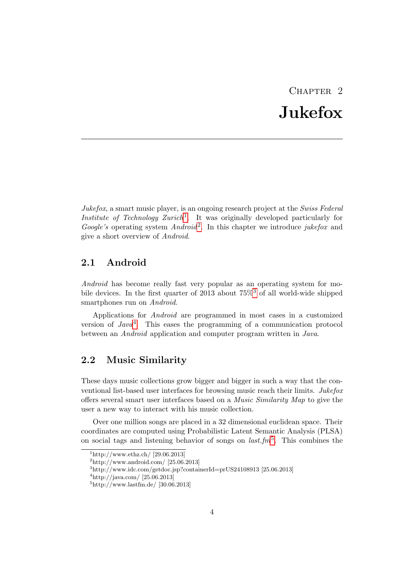# CHAPTER<sub>2</sub> Jukefox

<span id="page-8-0"></span>Jukefox, a smart music player, is an ongoing research project at the Swiss Federal Institute of Technology Zurich<sup>[1](#page-8-3)</sup>. It was originally developed particularly for Google's operating system  $Android^2$  $Android^2$ . In this chapter we introduce jukefox and give a short overview of Android.

### <span id="page-8-1"></span>2.1 Android

Android has become really fast very popular as an operating system for mobile devices. In the first quarter of 2013 about 75%[3](#page-8-5) of all world-wide shipped smartphones run on Android.

Applications for Android are programmed in most cases in a customized version of  $Java<sup>4</sup>$  $Java<sup>4</sup>$  $Java<sup>4</sup>$ . This eases the programming of a communication protocol between an Android application and computer program written in Java.

### <span id="page-8-2"></span>2.2 Music Similarity

These days music collections grow bigger and bigger in such a way that the conventional list-based user interfaces for browsing music reach their limits. Jukefox offers several smart user interfaces based on a Music Similarity Map to give the user a new way to interact with his music collection.

Over one million songs are placed in a 32 dimensional euclidean space. Their coordinates are computed using Probabilistic Latent Semantic Analysis (PLSA) on social tags and listening behavior of songs on  $last.fm<sup>5</sup>$  $last.fm<sup>5</sup>$  $last.fm<sup>5</sup>$ . This combines the

<span id="page-8-3"></span> $\frac{1 \text{http://www.ethz.ch/} [29.06.2013]}{2 \text{http://www.ethz.ch/} [29.06.2013]}$ 

<span id="page-8-4"></span> $^{2}$ http://www.android.com/ [25.06.2013]

<span id="page-8-5"></span> $3$ http://www.idc.com/getdoc.jsp?containerId=prUS24108913 [25.06.2013]

<span id="page-8-6"></span> $^{4}$ http://java.com/ [25.06.2013]

<span id="page-8-7"></span> $5$ http://www.lastfm.de/ [30.06.2013]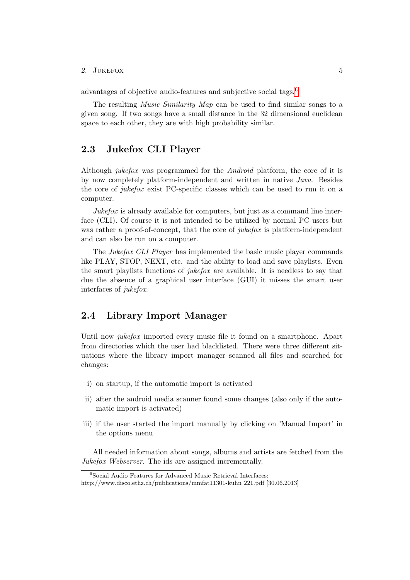#### 2. JUKEFOX 5

advantages of objective audio-features and subjective social tags.[6](#page-9-2)

The resulting *Music Similarity Map* can be used to find similar songs to a given song. If two songs have a small distance in the 32 dimensional euclidean space to each other, they are with high probability similar.

### <span id="page-9-0"></span>2.3 Jukefox CLI Player

Although jukefox was programmed for the Android platform, the core of it is by now completely platform-independent and written in native Java. Besides the core of jukefox exist PC-specific classes which can be used to run it on a computer.

Jukefox is already available for computers, but just as a command line interface (CLI). Of course it is not intended to be utilized by normal PC users but was rather a proof-of-concept, that the core of *jukefox* is platform-independent and can also be run on a computer.

The Jukefox CLI Player has implemented the basic music player commands like PLAY, STOP, NEXT, etc. and the ability to load and save playlists. Even the smart playlists functions of *jukefox* are available. It is needless to say that due the absence of a graphical user interface (GUI) it misses the smart user interfaces of jukefox.

### <span id="page-9-1"></span>2.4 Library Import Manager

Until now *jukefox* imported every music file it found on a smartphone. Apart from directories which the user had blacklisted. There were three different situations where the library import manager scanned all files and searched for changes:

- i) on startup, if the automatic import is activated
- ii) after the android media scanner found some changes (also only if the automatic import is activated)
- iii) if the user started the import manually by clicking on 'Manual Import' in the options menu

All needed information about songs, albums and artists are fetched from the Jukefox Webserver. The ids are assigned incrementally.

<span id="page-9-2"></span> $6$ Social Audio Features for Advanced Music Retrieval Interfaces:

http://www.disco.ethz.ch/publications/mmfat11301-kuhn 221.pdf [30.06.2013]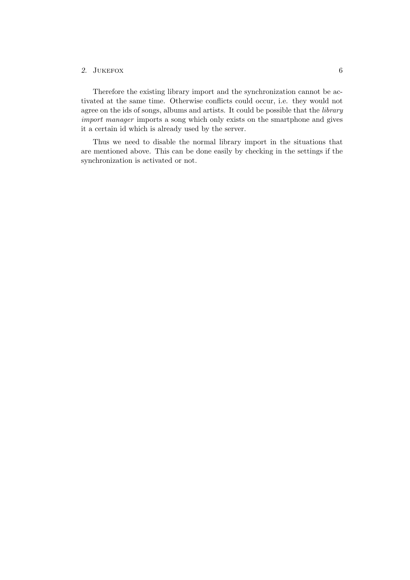### 2. JUKEFOX 6

Therefore the existing library import and the synchronization cannot be activated at the same time. Otherwise conflicts could occur, i.e. they would not agree on the ids of songs, albums and artists. It could be possible that the library import manager imports a song which only exists on the smartphone and gives it a certain id which is already used by the server.

Thus we need to disable the normal library import in the situations that are mentioned above. This can be done easily by checking in the settings if the synchronization is activated or not.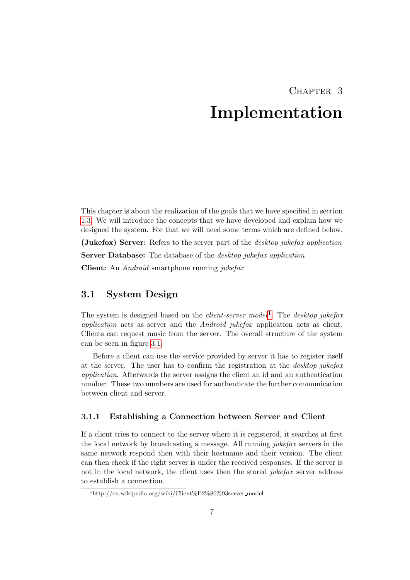## CHAPTER 3 Implementation

<span id="page-11-0"></span>This chapter is about the realization of the goals that we have specified in section [1.3.](#page-7-0) We will introduce the concepts that we have developed and explain how we designed the system. For that we will need some terms which are defined below. (Jukefox) Server: Refers to the server part of the desktop jukefox application Server Database: The database of the *desktop jukefox application* Client: An Android smartphone running jukefox

### <span id="page-11-1"></span>3.1 System Design

The system is designed based on the *client-server model*<sup>[1](#page-11-3)</sup>. The *desktop jukefox* application acts as server and the Android jukefox application acts as client. Clients can request music from the server. The overall structure of the system can be seen in figure [3.1.](#page-12-1)

Before a client can use the service provided by server it has to register itself at the server. The user has to confirm the registration at the desktop jukefox application. Afterwards the server assigns the client an id and an authentication number. These two numbers are used for authenticate the further communication between client and server.

### <span id="page-11-2"></span>3.1.1 Establishing a Connection between Server and Client

If a client tries to connect to the server where it is registered, it searches at first the local network by broadcasting a message. All running jukefox servers in the same network respond then with their hostname and their version. The client can then check if the right server is under the received responses. If the server is not in the local network, the client uses then the stored *jukefox* server address to establish a connection.

<span id="page-11-3"></span> $1$ http://en.wikipedia.org/wiki/Client%E2%80%93server\_model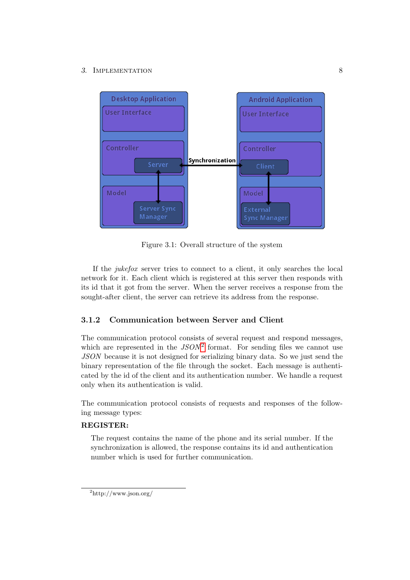<span id="page-12-1"></span>

Figure 3.1: Overall structure of the system

If the jukefox server tries to connect to a client, it only searches the local network for it. Each client which is registered at this server then responds with its id that it got from the server. When the server receives a response from the sought-after client, the server can retrieve its address from the response.

### <span id="page-12-0"></span>3.1.2 Communication between Server and Client

The communication protocol consists of several request and respond messages, which are represented in the  $JSON^2$  $JSON^2$  format. For sending files we cannot use JSON because it is not designed for serializing binary data. So we just send the binary representation of the file through the socket. Each message is authenticated by the id of the client and its authentication number. We handle a request only when its authentication is valid.

The communication protocol consists of requests and responses of the following message types:

### REGISTER:

The request contains the name of the phone and its serial number. If the synchronization is allowed, the response contains its id and authentication number which is used for further communication.

<span id="page-12-2"></span> $^{2}$ http://www.json.org/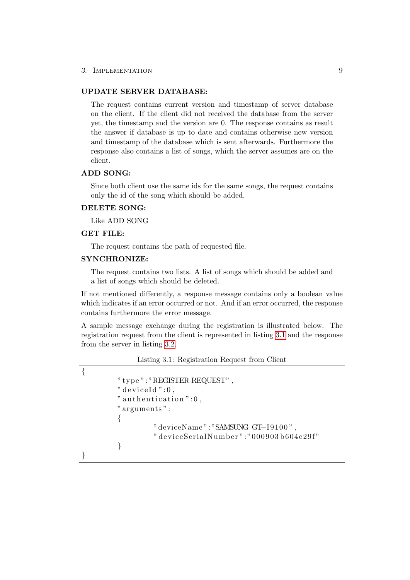#### UPDATE SERVER DATABASE:

The request contains current version and timestamp of server database on the client. If the client did not received the database from the server yet, the timestamp and the version are 0. The response contains as result the answer if database is up to date and contains otherwise new version and timestamp of the database which is sent afterwards. Furthermore the response also contains a list of songs, which the server assumes are on the client.

### ADD SONG:

Since both client use the same ids for the same songs, the request contains only the id of the song which should be added.

### DELETE SONG:

Like ADD SONG

### GET FILE:

<span id="page-13-0"></span>{

}

The request contains the path of requested file.

### SYNCHRONIZE:

The request contains two lists. A list of songs which should be added and a list of songs which should be deleted.

If not mentioned differently, a response message contains only a boolean value which indicates if an error occurred or not. And if an error occurred, the response contains furthermore the error message.

A sample message exchange during the registration is illustrated below. The registration request from the client is represented in listing [3.1](#page-13-0) and the response from the server in listing [3.2.](#page-14-2)

Listing 3.1: Registration Request from Client

```
" type ": "REGISTER REQUEST" ,
" deviceId":0," authentication " :0,
" arguments " :
\{" deviceName": "SAMSUNG GT-I9100",
         " deviceSerialNumber":"000903b604e29f"
}
```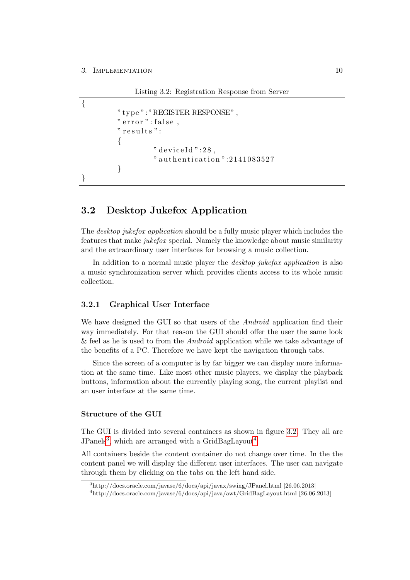Listing 3.2: Registration Response from Server

```
{
         " type ": "REGISTER RESPONSE" ,
         " error ": false,
         " results":
         {
                   " deviceId":28,
                   " authentication": 2141083527
         }
}
```
### <span id="page-14-0"></span>3.2 Desktop Jukefox Application

The *desktop jukefox application* should be a fully music player which includes the features that make jukefox special. Namely the knowledge about music similarity and the extraordinary user interfaces for browsing a music collection.

In addition to a normal music player the *desktop jukefox application* is also a music synchronization server which provides clients access to its whole music collection.

### <span id="page-14-1"></span>3.2.1 Graphical User Interface

We have designed the GUI so that users of the *Android* application find their way immediately. For that reason the GUI should offer the user the same look & feel as he is used to from the Android application while we take advantage of the benefits of a PC. Therefore we have kept the navigation through tabs.

Since the screen of a computer is by far bigger we can display more information at the same time. Like most other music players, we display the playback buttons, information about the currently playing song, the current playlist and an user interface at the same time.

### Structure of the GUI

The GUI is divided into several containers as shown in figure [3.2.](#page-15-0) They all are JPanels<sup>[3](#page-14-3)</sup>, which are arranged with a GridBagLayout<sup>[4](#page-14-4)</sup>.

All containers beside the content container do not change over time. In the the content panel we will display the different user interfaces. The user can navigate through them by clicking on the tabs on the left hand side.

<span id="page-14-3"></span><sup>3</sup>http://docs.oracle.com/javase/6/docs/api/javax/swing/JPanel.html [26.06.2013]

<span id="page-14-4"></span><sup>4</sup>http://docs.oracle.com/javase/6/docs/api/java/awt/GridBagLayout.html [26.06.2013]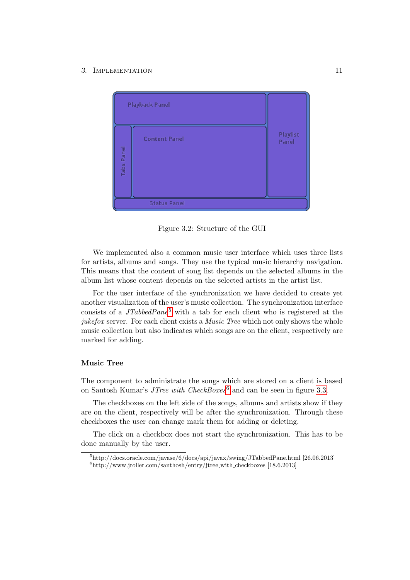<span id="page-15-0"></span>

Figure 3.2: Structure of the GUI

We implemented also a common music user interface which uses three lists for artists, albums and songs. They use the typical music hierarchy navigation. This means that the content of song list depends on the selected albums in the album list whose content depends on the selected artists in the artist list.

For the user interface of the synchronization we have decided to create yet another visualization of the user's music collection. The synchronization interface consists of a  $JTabbedPane<sup>5</sup>$  $JTabbedPane<sup>5</sup>$  $JTabbedPane<sup>5</sup>$  with a tab for each client who is registered at the jukefox server. For each client exists a *Music Tree* which not only shows the whole music collection but also indicates which songs are on the client, respectively are marked for adding.

#### Music Tree

The component to administrate the songs which are stored on a client is based on Santosh Kumar's JTree with  $CheckBoxes^6$  $CheckBoxes^6$  and can be seen in figure [3.3.](#page-16-2)

The checkboxes on the left side of the songs, albums and artists show if they are on the client, respectively will be after the synchronization. Through these checkboxes the user can change mark them for adding or deleting.

The click on a checkbox does not start the synchronization. This has to be done manually by the user.

<span id="page-15-2"></span><span id="page-15-1"></span><sup>5</sup>http://docs.oracle.com/javase/6/docs/api/javax/swing/JTabbedPane.html [26.06.2013]  $^{6}$ http://www.jroller.com/santhosh/entry/jtree\_with\_checkboxes [18.6.2013]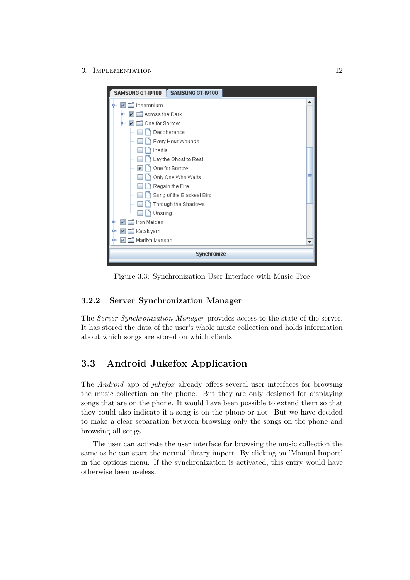<span id="page-16-2"></span>

| SAMSUNG GT-19100<br>SAMSUNG GT-19100 |   |  |  |  |  |  |
|--------------------------------------|---|--|--|--|--|--|
| Insomnium<br>$\vert\bm{v}\vert$      |   |  |  |  |  |  |
| $\blacksquare$ Across the Dark<br>v  |   |  |  |  |  |  |
| One for Sorrow<br>۰                  |   |  |  |  |  |  |
| Decoherence                          |   |  |  |  |  |  |
| Every Hour Wounds                    |   |  |  |  |  |  |
| Inertia                              |   |  |  |  |  |  |
| Lay the Ghost to Rest                |   |  |  |  |  |  |
| One for Sorrow<br>v                  |   |  |  |  |  |  |
| Only One Who Waits                   |   |  |  |  |  |  |
| Regain the Fire                      |   |  |  |  |  |  |
| Song of the Blackest Bird            |   |  |  |  |  |  |
| Through the Shadows                  |   |  |  |  |  |  |
| Unsung                               |   |  |  |  |  |  |
| Iron Maiden<br>v                     |   |  |  |  |  |  |
| Katakiysm                            |   |  |  |  |  |  |
| Marilyn Manson                       | ▼ |  |  |  |  |  |
| Synchronize                          |   |  |  |  |  |  |
|                                      |   |  |  |  |  |  |

Figure 3.3: Synchronization User Interface with Music Tree

### <span id="page-16-0"></span>3.2.2 Server Synchronization Manager

The Server Synchronization Manager provides access to the state of the server. It has stored the data of the user's whole music collection and holds information about which songs are stored on which clients.

## <span id="page-16-1"></span>3.3 Android Jukefox Application

The Android app of jukefox already offers several user interfaces for browsing the music collection on the phone. But they are only designed for displaying songs that are on the phone. It would have been possible to extend them so that they could also indicate if a song is on the phone or not. But we have decided to make a clear separation between browsing only the songs on the phone and browsing all songs.

The user can activate the user interface for browsing the music collection the same as he can start the normal library import. By clicking on 'Manual Import' in the options menu. If the synchronization is activated, this entry would have otherwise been useless.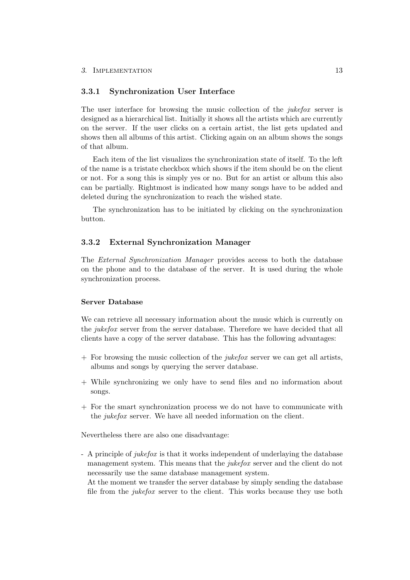### <span id="page-17-0"></span>3.3.1 Synchronization User Interface

The user interface for browsing the music collection of the *jukefox* server is designed as a hierarchical list. Initially it shows all the artists which are currently on the server. If the user clicks on a certain artist, the list gets updated and shows then all albums of this artist. Clicking again on an album shows the songs of that album.

Each item of the list visualizes the synchronization state of itself. To the left of the name is a tristate checkbox which shows if the item should be on the client or not. For a song this is simply yes or no. But for an artist or album this also can be partially. Rightmost is indicated how many songs have to be added and deleted during the synchronization to reach the wished state.

The synchronization has to be initiated by clicking on the synchronization button.

### <span id="page-17-1"></span>3.3.2 External Synchronization Manager

The External Synchronization Manager provides access to both the database on the phone and to the database of the server. It is used during the whole synchronization process.

### Server Database

We can retrieve all necessary information about the music which is currently on the *jukefox* server from the server database. Therefore we have decided that all clients have a copy of the server database. This has the following advantages:

- $+$  For browsing the music collection of the *jukefox* server we can get all artists, albums and songs by querying the server database.
- + While synchronizing we only have to send files and no information about songs.
- + For the smart synchronization process we do not have to communicate with the jukefox server. We have all needed information on the client.

Nevertheless there are also one disadvantage:

- A principle of jukefox is that it works independent of underlaying the database management system. This means that the *jukefox* server and the client do not necessarily use the same database management system.

At the moment we transfer the server database by simply sending the database file from the *jukefox* server to the client. This works because they use both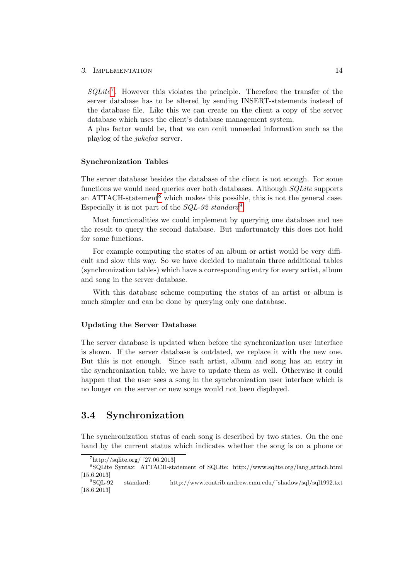$SQLite^7$  $SQLite^7$ . However this violates the principle. Therefore the transfer of the server database has to be altered by sending INSERT-statements instead of the database file. Like this we can create on the client a copy of the server database which uses the client's database management system.

A plus factor would be, that we can omit unneeded information such as the playlog of the jukefox server.

#### Synchronization Tables

The server database besides the database of the client is not enough. For some functions we would need queries over both databases. Although SQLite supports an ATTACH-statement<sup>[8](#page-18-2)</sup> which makes this possible, this is not the general case. Especially it is not part of the  $SQL-92$  $SQL-92$  $SQL-92$  standard<sup>9</sup>.

Most functionalities we could implement by querying one database and use the result to query the second database. But unfortunately this does not hold for some functions.

For example computing the states of an album or artist would be very difficult and slow this way. So we have decided to maintain three additional tables (synchronization tables) which have a corresponding entry for every artist, album and song in the server database.

With this database scheme computing the states of an artist or album is much simpler and can be done by querying only one database.

### Updating the Server Database

The server database is updated when before the synchronization user interface is shown. If the server database is outdated, we replace it with the new one. But this is not enough. Since each artist, album and song has an entry in the synchronization table, we have to update them as well. Otherwise it could happen that the user sees a song in the synchronization user interface which is no longer on the server or new songs would not been displayed.

### <span id="page-18-0"></span>3.4 Synchronization

The synchronization status of each song is described by two states. On the one hand by the current status which indicates whether the song is on a phone or

<span id="page-18-2"></span><span id="page-18-1"></span> $^7$ http://sqlite.org/ [27.06.2013]

<sup>8</sup>SQLite Syntax: ATTACH-statement of SQLite: http://www.sqlite.org/lang attach.html  $[15.6.2013]$ <br><sup>9</sup>SQL-92

<span id="page-18-3"></span>standard: http://www.contrib.andrew.cmu.edu/~shadow/sql/sql1992.txt [18.6.2013]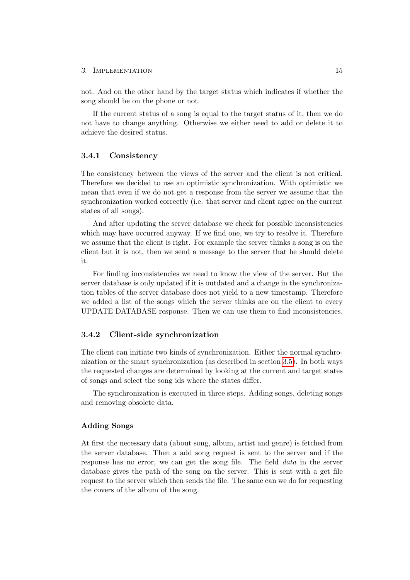not. And on the other hand by the target status which indicates if whether the song should be on the phone or not.

If the current status of a song is equal to the target status of it, then we do not have to change anything. Otherwise we either need to add or delete it to achieve the desired status.

### <span id="page-19-0"></span>3.4.1 Consistency

The consistency between the views of the server and the client is not critical. Therefore we decided to use an optimistic synchronization. With optimistic we mean that even if we do not get a response from the server we assume that the synchronization worked correctly (i.e. that server and client agree on the current states of all songs).

And after updating the server database we check for possible inconsistencies which may have occurred anyway. If we find one, we try to resolve it. Therefore we assume that the client is right. For example the server thinks a song is on the client but it is not, then we send a message to the server that he should delete it.

For finding inconsistencies we need to know the view of the server. But the server database is only updated if it is outdated and a change in the synchronization tables of the server database does not yield to a new timestamp. Therefore we added a list of the songs which the server thinks are on the client to every UPDATE DATABASE response. Then we can use them to find inconsistencies.

### <span id="page-19-1"></span>3.4.2 Client-side synchronization

The client can initiate two kinds of synchronization. Either the normal synchronization or the smart synchronization (as described in section [3.5\)](#page-21-1). In both ways the requested changes are determined by looking at the current and target states of songs and select the song ids where the states differ.

The synchronization is executed in three steps. Adding songs, deleting songs and removing obsolete data.

### Adding Songs

At first the necessary data (about song, album, artist and genre) is fetched from the server database. Then a add song request is sent to the server and if the response has no error, we can get the song file. The field data in the server database gives the path of the song on the server. This is sent with a get file request to the server which then sends the file. The same can we do for requesting the covers of the album of the song.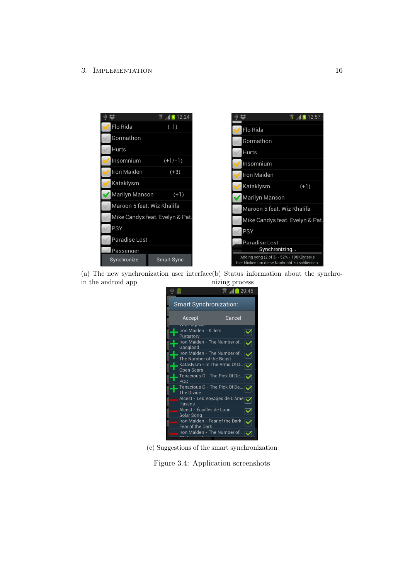

(a) The new synchronization user interface (b) Status information about the synchroin the android app nizing process



(c) Suggestions of the smart synchronization

Figure 3.4: Application screenshots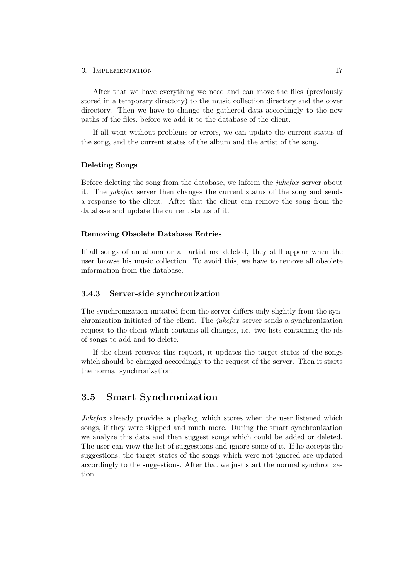After that we have everything we need and can move the files (previously stored in a temporary directory) to the music collection directory and the cover directory. Then we have to change the gathered data accordingly to the new paths of the files, before we add it to the database of the client.

If all went without problems or errors, we can update the current status of the song, and the current states of the album and the artist of the song.

### Deleting Songs

Before deleting the song from the database, we inform the jukefox server about it. The jukefox server then changes the current status of the song and sends a response to the client. After that the client can remove the song from the database and update the current status of it.

#### Removing Obsolete Database Entries

If all songs of an album or an artist are deleted, they still appear when the user browse his music collection. To avoid this, we have to remove all obsolete information from the database.

### <span id="page-21-0"></span>3.4.3 Server-side synchronization

The synchronization initiated from the server differs only slightly from the synchronization initiated of the client. The jukefox server sends a synchronization request to the client which contains all changes, i.e. two lists containing the ids of songs to add and to delete.

If the client receives this request, it updates the target states of the songs which should be changed accordingly to the request of the server. Then it starts the normal synchronization.

### <span id="page-21-1"></span>3.5 Smart Synchronization

Jukefox already provides a playlog, which stores when the user listened which songs, if they were skipped and much more. During the smart synchronization we analyze this data and then suggest songs which could be added or deleted. The user can view the list of suggestions and ignore some of it. If he accepts the suggestions, the target states of the songs which were not ignored are updated accordingly to the suggestions. After that we just start the normal synchronization.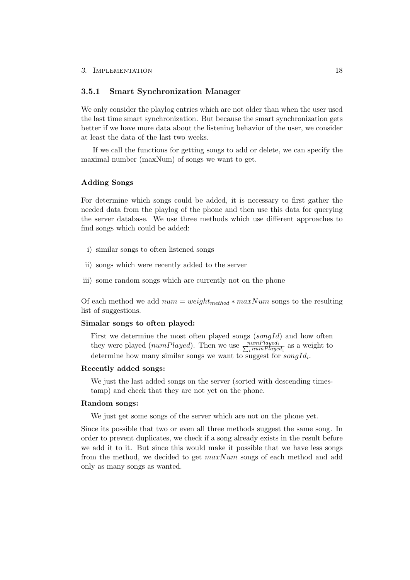### <span id="page-22-0"></span>3.5.1 Smart Synchronization Manager

We only consider the playlog entries which are not older than when the user used the last time smart synchronization. But because the smart synchronization gets better if we have more data about the listening behavior of the user, we consider at least the data of the last two weeks.

If we call the functions for getting songs to add or delete, we can specify the maximal number (maxNum) of songs we want to get.

### Adding Songs

For determine which songs could be added, it is necessary to first gather the needed data from the playlog of the phone and then use this data for querying the server database. We use three methods which use different approaches to find songs which could be added:

- i) similar songs to often listened songs
- ii) songs which were recently added to the server
- iii) some random songs which are currently not on the phone

Of each method we add  $num = weight_{method} * maxNum$  songs to the resulting list of suggestions.

#### Simalar songs to often played:

First we determine the most often played songs  $(songId)$  and how often they were played (numPlayed). Then we use  $\frac{numPlayed}{\sum_{i} numPlayed}}$  $\frac{numPlayer_i}{i \, numPlayer_i}$  as a weight to determine how many similar songs we want to suggest for  $\text{songId}_i$ .

#### Recently added songs:

We just the last added songs on the server (sorted with descending timestamp) and check that they are not yet on the phone.

### Random songs:

We just get some songs of the server which are not on the phone yet.

Since its possible that two or even all three methods suggest the same song. In order to prevent duplicates, we check if a song already exists in the result before we add it to it. But since this would make it possible that we have less songs from the method, we decided to get  $maxNum$  songs of each method and add only as many songs as wanted.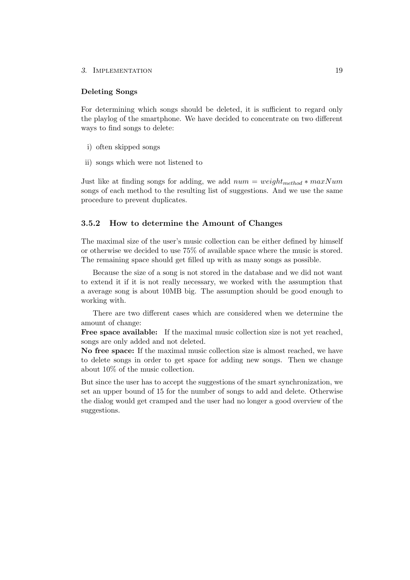#### Deleting Songs

For determining which songs should be deleted, it is sufficient to regard only the playlog of the smartphone. We have decided to concentrate on two different ways to find songs to delete:

- i) often skipped songs
- ii) songs which were not listened to

Just like at finding songs for adding, we add  $num = weight_{method} * maxNum$ songs of each method to the resulting list of suggestions. And we use the same procedure to prevent duplicates.

### <span id="page-23-0"></span>3.5.2 How to determine the Amount of Changes

The maximal size of the user's music collection can be either defined by himself or otherwise we decided to use 75% of available space where the music is stored. The remaining space should get filled up with as many songs as possible.

Because the size of a song is not stored in the database and we did not want to extend it if it is not really necessary, we worked with the assumption that a average song is about 10MB big. The assumption should be good enough to working with.

There are two different cases which are considered when we determine the amount of change:

Free space available: If the maximal music collection size is not yet reached, songs are only added and not deleted.

No free space: If the maximal music collection size is almost reached, we have to delete songs in order to get space for adding new songs. Then we change about 10% of the music collection.

But since the user has to accept the suggestions of the smart synchronization, we set an upper bound of 15 for the number of songs to add and delete. Otherwise the dialog would get cramped and the user had no longer a good overview of the suggestions.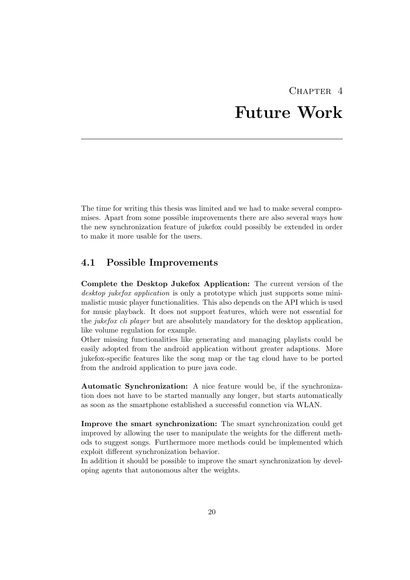## $CHAPTER$  4 Future Work

<span id="page-24-0"></span>The time for writing this thesis was limited and we had to make several compromises. Apart from some possible improvements there are also several ways how the new synchronization feature of jukefox could possibly be extended in order to make it more usable for the users.

### <span id="page-24-1"></span>4.1 Possible Improvements

Complete the Desktop Jukefox Application: The current version of the desktop jukefox application is only a prototype which just supports some minimalistic music player functionalities. This also depends on the API which is used for music playback. It does not support features, which were not essential for the *jukefox cli player* but are absolutely mandatory for the desktop application, like volume regulation for example.

Other missing functionalities like generating and managing playlists could be easily adopted from the android application without greater adaptions. More jukefox-specific features like the song map or the tag cloud have to be ported from the android application to pure java code.

Automatic Synchronization: A nice feature would be, if the synchronization does not have to be started manually any longer, but starts automatically as soon as the smartphone established a successful connction via WLAN.

Improve the smart synchronization: The smart synchronization could get improved by allowing the user to manipulate the weights for the different methods to suggest songs. Furthermore more methods could be implemented which exploit different synchronization behavior.

In addition it should be possible to improve the smart synchronization by developing agents that autonomous alter the weights.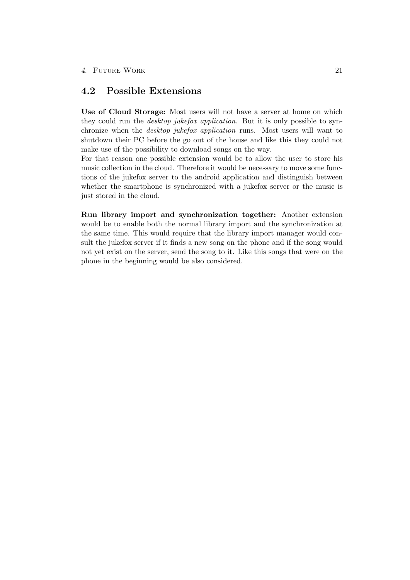### <span id="page-25-0"></span>4.2 Possible Extensions

Use of Cloud Storage: Most users will not have a server at home on which they could run the *desktop jukefox application*. But it is only possible to synchronize when the desktop jukefox application runs. Most users will want to shutdown their PC before the go out of the house and like this they could not make use of the possibility to download songs on the way.

For that reason one possible extension would be to allow the user to store his music collection in the cloud. Therefore it would be necessary to move some functions of the jukefox server to the android application and distinguish between whether the smartphone is synchronized with a jukefox server or the music is just stored in the cloud.

Run library import and synchronization together: Another extension would be to enable both the normal library import and the synchronization at the same time. This would require that the library import manager would consult the jukefox server if it finds a new song on the phone and if the song would not yet exist on the server, send the song to it. Like this songs that were on the phone in the beginning would be also considered.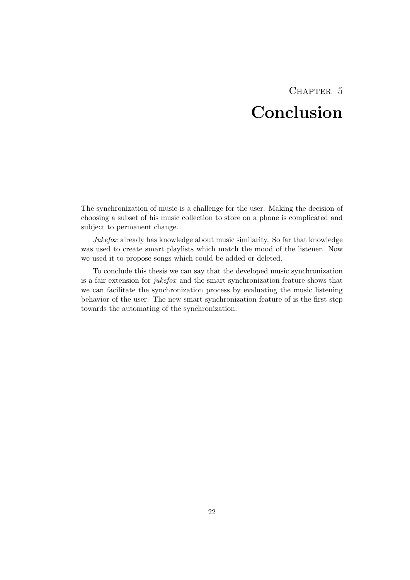## CHAPTER<sub>5</sub> Conclusion

<span id="page-26-0"></span>The synchronization of music is a challenge for the user. Making the decision of choosing a subset of his music collection to store on a phone is complicated and subject to permanent change.

Jukefox already has knowledge about music similarity. So far that knowledge was used to create smart playlists which match the mood of the listener. Now we used it to propose songs which could be added or deleted.

To conclude this thesis we can say that the developed music synchronization is a fair extension for jukefox and the smart synchronization feature shows that we can facilitate the synchronization process by evaluating the music listening behavior of the user. The new smart synchronization feature of is the first step towards the automating of the synchronization.